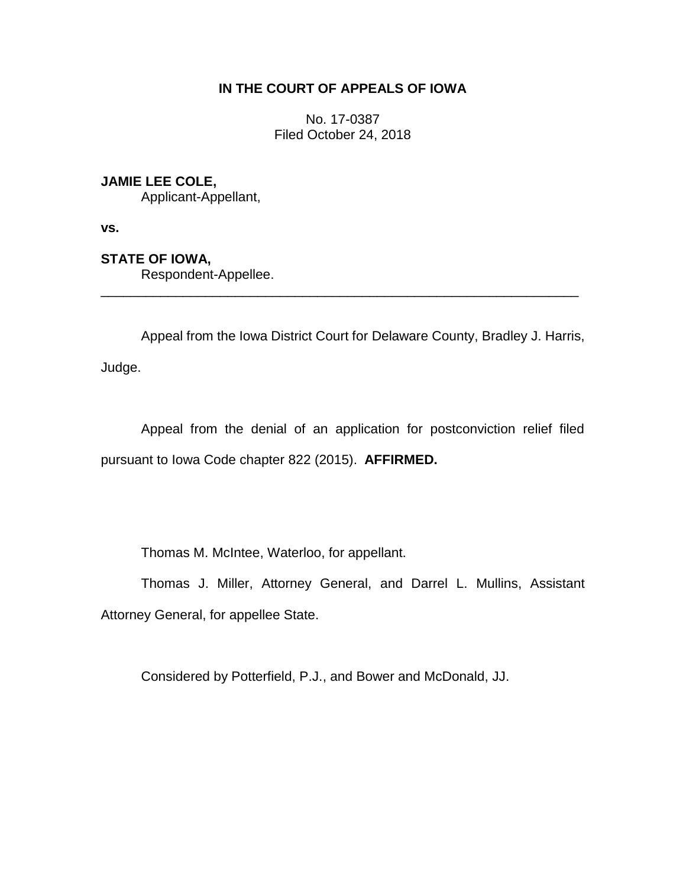# **IN THE COURT OF APPEALS OF IOWA**

No. 17-0387 Filed October 24, 2018

# **JAMIE LEE COLE,**

Applicant-Appellant,

**vs.**

### **STATE OF IOWA,**

Respondent-Appellee.

Appeal from the Iowa District Court for Delaware County, Bradley J. Harris,

\_\_\_\_\_\_\_\_\_\_\_\_\_\_\_\_\_\_\_\_\_\_\_\_\_\_\_\_\_\_\_\_\_\_\_\_\_\_\_\_\_\_\_\_\_\_\_\_\_\_\_\_\_\_\_\_\_\_\_\_\_\_\_\_

Judge.

Appeal from the denial of an application for postconviction relief filed pursuant to Iowa Code chapter 822 (2015). **AFFIRMED.**

Thomas M. McIntee, Waterloo, for appellant.

Thomas J. Miller, Attorney General, and Darrel L. Mullins, Assistant Attorney General, for appellee State.

Considered by Potterfield, P.J., and Bower and McDonald, JJ.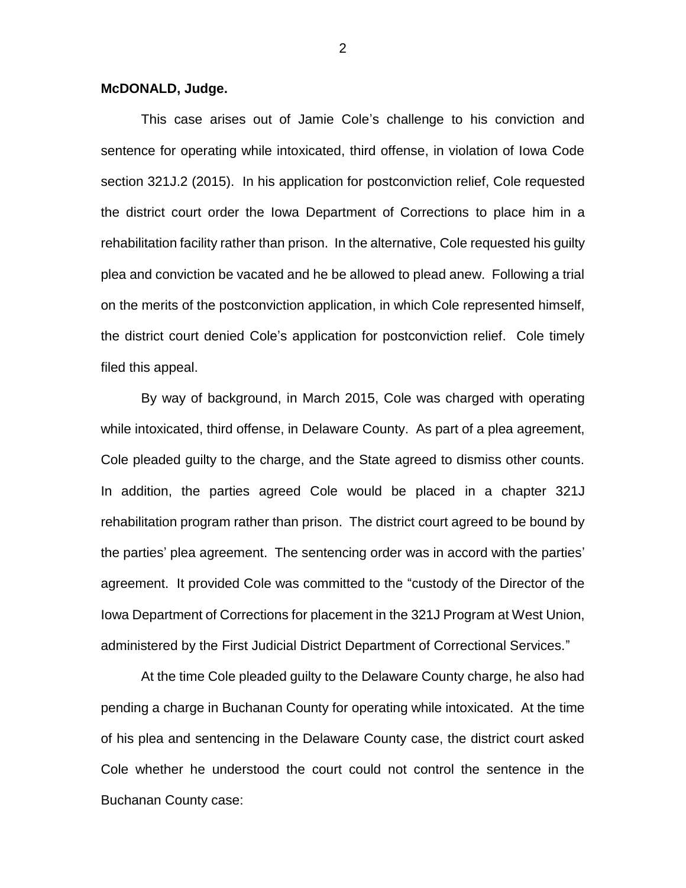#### **McDONALD, Judge.**

This case arises out of Jamie Cole's challenge to his conviction and sentence for operating while intoxicated, third offense, in violation of Iowa Code section 321J.2 (2015). In his application for postconviction relief, Cole requested the district court order the Iowa Department of Corrections to place him in a rehabilitation facility rather than prison. In the alternative, Cole requested his guilty plea and conviction be vacated and he be allowed to plead anew. Following a trial on the merits of the postconviction application, in which Cole represented himself, the district court denied Cole's application for postconviction relief. Cole timely filed this appeal.

By way of background, in March 2015, Cole was charged with operating while intoxicated, third offense, in Delaware County. As part of a plea agreement, Cole pleaded guilty to the charge, and the State agreed to dismiss other counts. In addition, the parties agreed Cole would be placed in a chapter 321J rehabilitation program rather than prison. The district court agreed to be bound by the parties' plea agreement. The sentencing order was in accord with the parties' agreement. It provided Cole was committed to the "custody of the Director of the Iowa Department of Corrections for placement in the 321J Program at West Union, administered by the First Judicial District Department of Correctional Services."

At the time Cole pleaded guilty to the Delaware County charge, he also had pending a charge in Buchanan County for operating while intoxicated. At the time of his plea and sentencing in the Delaware County case, the district court asked Cole whether he understood the court could not control the sentence in the Buchanan County case: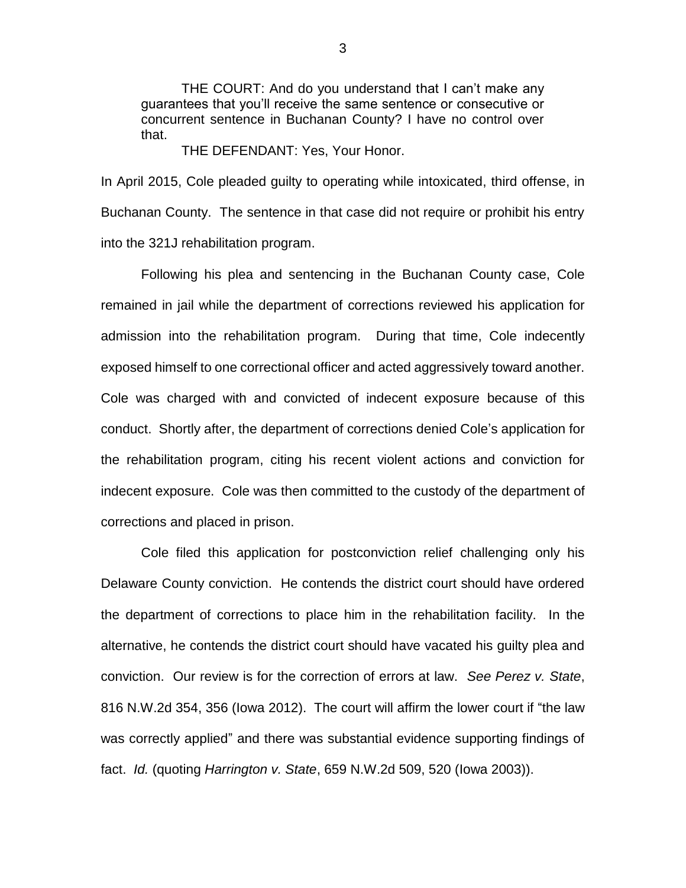THE COURT: And do you understand that I can't make any guarantees that you'll receive the same sentence or consecutive or concurrent sentence in Buchanan County? I have no control over that.

THE DEFENDANT: Yes, Your Honor.

In April 2015, Cole pleaded guilty to operating while intoxicated, third offense, in Buchanan County. The sentence in that case did not require or prohibit his entry into the 321J rehabilitation program.

Following his plea and sentencing in the Buchanan County case, Cole remained in jail while the department of corrections reviewed his application for admission into the rehabilitation program. During that time, Cole indecently exposed himself to one correctional officer and acted aggressively toward another. Cole was charged with and convicted of indecent exposure because of this conduct. Shortly after, the department of corrections denied Cole's application for the rehabilitation program, citing his recent violent actions and conviction for indecent exposure. Cole was then committed to the custody of the department of corrections and placed in prison.

Cole filed this application for postconviction relief challenging only his Delaware County conviction. He contends the district court should have ordered the department of corrections to place him in the rehabilitation facility. In the alternative, he contends the district court should have vacated his guilty plea and conviction. Our review is for the correction of errors at law. *See Perez v. State*, 816 N.W.2d 354, 356 (Iowa 2012). The court will affirm the lower court if "the law was correctly applied" and there was substantial evidence supporting findings of fact. *Id.* (quoting *Harrington v. State*, 659 N.W.2d 509, 520 (Iowa 2003)).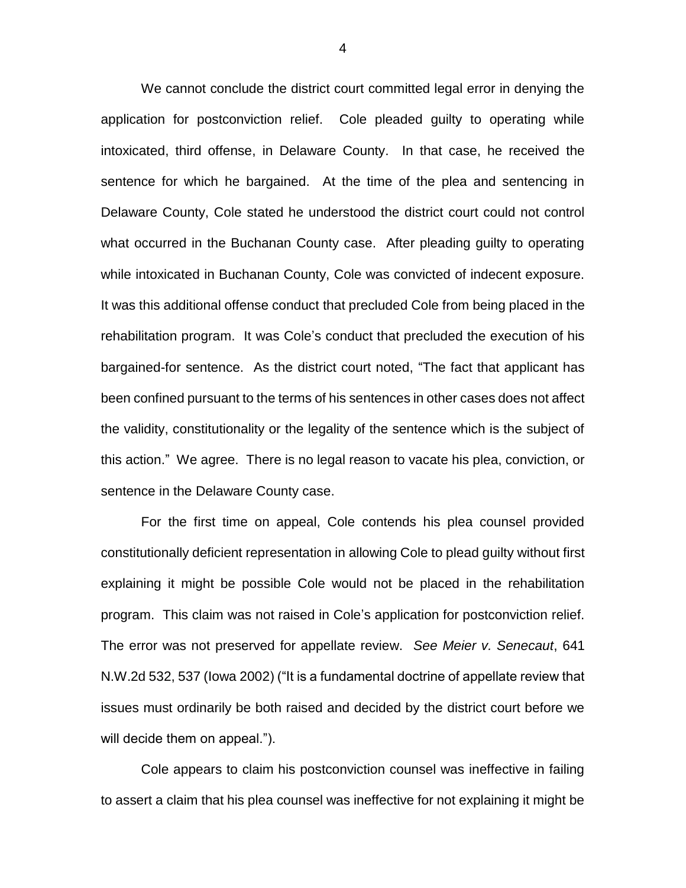We cannot conclude the district court committed legal error in denying the application for postconviction relief. Cole pleaded guilty to operating while intoxicated, third offense, in Delaware County. In that case, he received the sentence for which he bargained. At the time of the plea and sentencing in Delaware County, Cole stated he understood the district court could not control what occurred in the Buchanan County case. After pleading guilty to operating while intoxicated in Buchanan County, Cole was convicted of indecent exposure. It was this additional offense conduct that precluded Cole from being placed in the rehabilitation program. It was Cole's conduct that precluded the execution of his bargained-for sentence. As the district court noted, "The fact that applicant has been confined pursuant to the terms of his sentences in other cases does not affect the validity, constitutionality or the legality of the sentence which is the subject of this action." We agree. There is no legal reason to vacate his plea, conviction, or sentence in the Delaware County case.

For the first time on appeal, Cole contends his plea counsel provided constitutionally deficient representation in allowing Cole to plead guilty without first explaining it might be possible Cole would not be placed in the rehabilitation program. This claim was not raised in Cole's application for postconviction relief. The error was not preserved for appellate review. *See Meier v. Senecaut*, 641 N.W.2d 532, 537 (Iowa 2002) ("It is a fundamental doctrine of appellate review that issues must ordinarily be both raised and decided by the district court before we will decide them on appeal.").

Cole appears to claim his postconviction counsel was ineffective in failing to assert a claim that his plea counsel was ineffective for not explaining it might be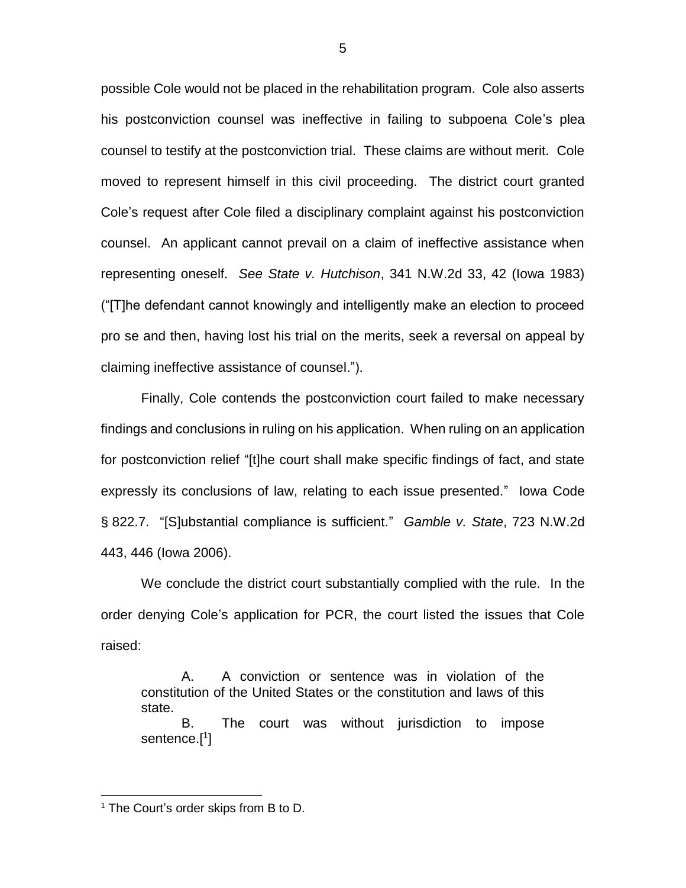possible Cole would not be placed in the rehabilitation program. Cole also asserts his postconviction counsel was ineffective in failing to subpoena Cole's plea counsel to testify at the postconviction trial. These claims are without merit. Cole moved to represent himself in this civil proceeding. The district court granted Cole's request after Cole filed a disciplinary complaint against his postconviction counsel. An applicant cannot prevail on a claim of ineffective assistance when representing oneself. *See State v. Hutchison*, 341 N.W.2d 33, 42 (Iowa 1983) ("[T]he defendant cannot knowingly and intelligently make an election to proceed pro se and then, having lost his trial on the merits, seek a reversal on appeal by claiming ineffective assistance of counsel.").

Finally, Cole contends the postconviction court failed to make necessary findings and conclusions in ruling on his application. When ruling on an application for postconviction relief "[t]he court shall make specific findings of fact, and state expressly its conclusions of law, relating to each issue presented." Iowa Code § 822.7. "[S]ubstantial compliance is sufficient." *Gamble v. State*, 723 N.W.2d 443, 446 (Iowa 2006).

We conclude the district court substantially complied with the rule. In the order denying Cole's application for PCR, the court listed the issues that Cole raised:

A. A conviction or sentence was in violation of the constitution of the United States or the constitution and laws of this state.

B. The court was without jurisdiction to impose sentence.[ 1 ]

 $\overline{a}$ 

<sup>&</sup>lt;sup>1</sup> The Court's order skips from B to D.